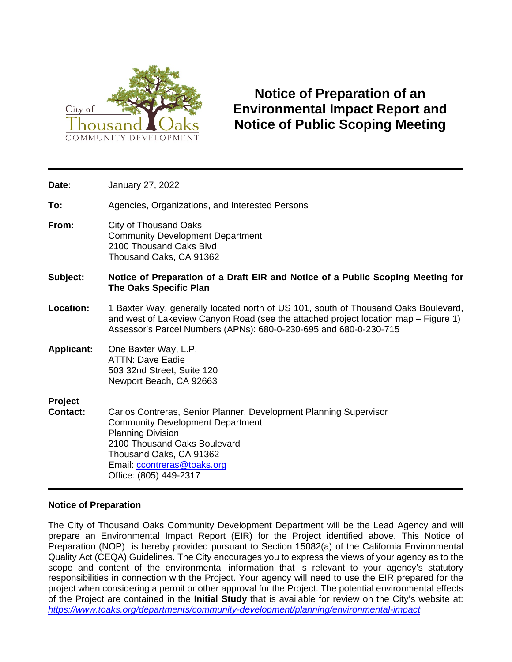

# **Notice of Preparation of an Environmental Impact Report and Notice of Public Scoping Meeting**

| Date:                             | January 27, 2022                                                                                                                                                                                                                                             |
|-----------------------------------|--------------------------------------------------------------------------------------------------------------------------------------------------------------------------------------------------------------------------------------------------------------|
| To:                               | Agencies, Organizations, and Interested Persons                                                                                                                                                                                                              |
| From:                             | City of Thousand Oaks<br><b>Community Development Department</b><br>2100 Thousand Oaks Blvd<br>Thousand Oaks, CA 91362                                                                                                                                       |
| Subject:                          | Notice of Preparation of a Draft EIR and Notice of a Public Scoping Meeting for<br><b>The Oaks Specific Plan</b>                                                                                                                                             |
| Location:                         | 1 Baxter Way, generally located north of US 101, south of Thousand Oaks Boulevard,<br>and west of Lakeview Canyon Road (see the attached project location map - Figure 1)<br>Assessor's Parcel Numbers (APNs): 680-0-230-695 and 680-0-230-715               |
| <b>Applicant:</b>                 | One Baxter Way, L.P.<br><b>ATTN: Dave Eadie</b><br>503 32nd Street, Suite 120<br>Newport Beach, CA 92663                                                                                                                                                     |
| <b>Project</b><br><b>Contact:</b> | Carlos Contreras, Senior Planner, Development Planning Supervisor<br><b>Community Development Department</b><br><b>Planning Division</b><br>2100 Thousand Oaks Boulevard<br>Thousand Oaks, CA 91362<br>Email: ccontreras@toaks.org<br>Office: (805) 449-2317 |

## **Notice of Preparation**

The City of Thousand Oaks Community Development Department will be the Lead Agency and will prepare an Environmental Impact Report (EIR) for the Project identified above. This Notice of Preparation (NOP) is hereby provided pursuant to Section 15082(a) of the California Environmental Quality Act (CEQA) Guidelines. The City encourages you to express the views of your agency as to the scope and content of the environmental information that is relevant to your agency's statutory responsibilities in connection with the Project. Your agency will need to use the EIR prepared for the project when considering a permit or other approval for the Project. The potential environmental effects of the Project are contained in the **Initial Study** that is available for review on the City's website at: *<https://www.toaks.org/departments/community-development/planning/environmental-impact>*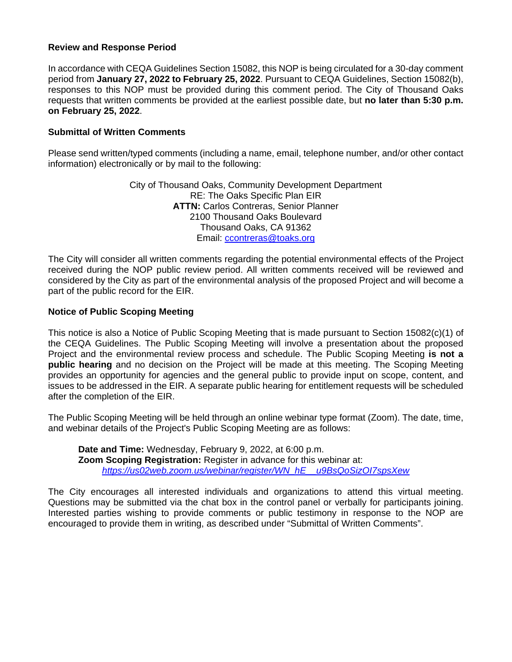#### **Review and Response Period**

In accordance with CEQA Guidelines Section 15082, this NOP is being circulated for a 30-day comment period from **January 27, 2022 to February 25, 2022**. Pursuant to CEQA Guidelines, Section 15082(b), responses to this NOP must be provided during this comment period. The City of Thousand Oaks requests that written comments be provided at the earliest possible date, but **no later than 5:30 p.m. on February 25, 2022**.

#### **Submittal of Written Comments**

Please send written/typed comments (including a name, email, telephone number, and/or other contact information) electronically or by mail to the following:

> City of Thousand Oaks, Community Development Department RE: The Oaks Specific Plan EIR **ATTN:** Carlos Contreras, Senior Planner 2100 Thousand Oaks Boulevard Thousand Oaks, CA 91362 Email: [ccontreras@toaks.org](mailto:ccontreras@toaks.org)

The City will consider all written comments regarding the potential environmental effects of the Project received during the NOP public review period. All written comments received will be reviewed and considered by the City as part of the environmental analysis of the proposed Project and will become a part of the public record for the EIR.

#### **Notice of Public Scoping Meeting**

This notice is also a Notice of Public Scoping Meeting that is made pursuant to Section 15082(c)(1) of the CEQA Guidelines. The Public Scoping Meeting will involve a presentation about the proposed Project and the environmental review process and schedule. The Public Scoping Meeting **is not a public hearing** and no decision on the Project will be made at this meeting. The Scoping Meeting provides an opportunity for agencies and the general public to provide input on scope, content, and issues to be addressed in the EIR. A separate public hearing for entitlement requests will be scheduled after the completion of the EIR.

The Public Scoping Meeting will be held through an online webinar type format (Zoom). The date, time, and webinar details of the Project's Public Scoping Meeting are as follows:

**Date and Time:** Wednesday, February 9, 2022, at 6:00 p.m. **Zoom Scoping Registration:** Register in advance for this webinar at: *[https://us02web.zoom.us/webinar/register/WN\\_hE\\_\\_u9BsQoSizOI7spsXew](https://us02web.zoom.us/webinar/register/WN_hE__u9BsQoSizOI7spsXew)*

The City encourages all interested individuals and organizations to attend this virtual meeting. Questions may be submitted via the chat box in the control panel or verbally for participants joining. Interested parties wishing to provide comments or public testimony in response to the NOP are encouraged to provide them in writing, as described under "Submittal of Written Comments".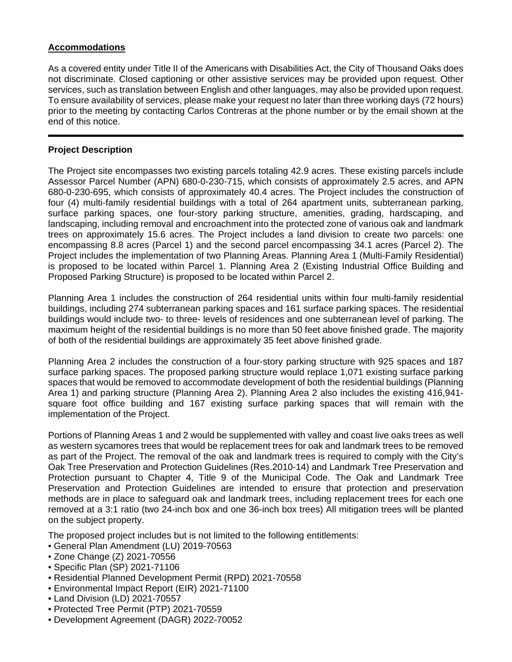## **Accommodations**

As a covered entity under Title II of the Americans with Disabilities Act, the City of Thousand Oaks does not discriminate. Closed captioning or other assistive services may be provided upon request. Other services, such as translation between English and other languages, may also be provided upon request. To ensure availability of services, please make your request no later than three working days (72 hours) prior to the meeting by contacting Carlos Contreras at the phone number or by the email shown at the end of this notice.

#### **Project Description**

The Project site encompasses two existing parcels totaling 42.9 acres. These existing parcels include Assessor Parcel Number (APN) 680-0-230-715, which consists of approximately 2.5 acres, and APN 680-0-230-695, which consists of approximately 40.4 acres. The Project includes the construction of four (4) multi-family residential buildings with a total of 264 apartment units, subterranean parking, surface parking spaces, one four-story parking structure, amenities, grading, hardscaping, and landscaping, including removal and encroachment into the protected zone of various oak and landmark trees on approximately 15.6 acres. The Project includes a land division to create two parcels: one encompassing 8.8 acres (Parcel 1) and the second parcel encompassing 34.1 acres (Parcel 2). The Project includes the implementation of two Planning Areas. Planning Area 1 (Multi-Family Residential) is proposed to be located within Parcel 1. Planning Area 2 (Existing Industrial Office Building and Proposed Parking Structure) is proposed to be located within Parcel 2.

Planning Area 1 includes the construction of 264 residential units within four multi-family residential buildings, including 274 subterranean parking spaces and 161 surface parking spaces. The residential buildings would include two- to three- levels of residences and one subterranean level of parking. The maximum height of the residential buildings is no more than 50 feet above finished grade. The majority of both of the residential buildings are approximately 35 feet above finished grade.

Planning Area 2 includes the construction of a four-story parking structure with 925 spaces and 187 surface parking spaces. The proposed parking structure would replace 1,071 existing surface parking spaces that would be removed to accommodate development of both the residential buildings (Planning Area 1) and parking structure (Planning Area 2). Planning Area 2 also includes the existing 416,941 square foot office building and 167 existing surface parking spaces that will remain with the implementation of the Project.

Portions of Planning Areas 1 and 2 would be supplemented with valley and coast live oaks trees as well as western sycamores trees that would be replacement trees for oak and landmark trees to be removed as part of the Project. The removal of the oak and landmark trees is required to comply with the City's Oak Tree Preservation and Protection Guidelines (Res.2010-14) and Landmark Tree Preservation and Protection pursuant to Chapter 4, Title 9 of the Municipal Code. The Oak and Landmark Tree Preservation and Protection Guidelines are intended to ensure that protection and preservation methods are in place to safeguard oak and landmark trees, including replacement trees for each one removed at a 3:1 ratio (two 24-inch box and one 36-inch box trees) All mitigation trees will be planted on the subject property.

The proposed project includes but is not limited to the following entitlements:

- General Plan Amendment (LU) 2019-70563
- Zone Change (Z) 2021-70556
- Specific Plan (SP) 2021-71106
- Residential Planned Development Permit (RPD) 2021-70558
- Environmental Impact Report (EIR) 2021-71100
- Land Division (LD) 2021-70557
- Protected Tree Permit (PTP) 2021-70559
- Development Agreement (DAGR) 2022-70052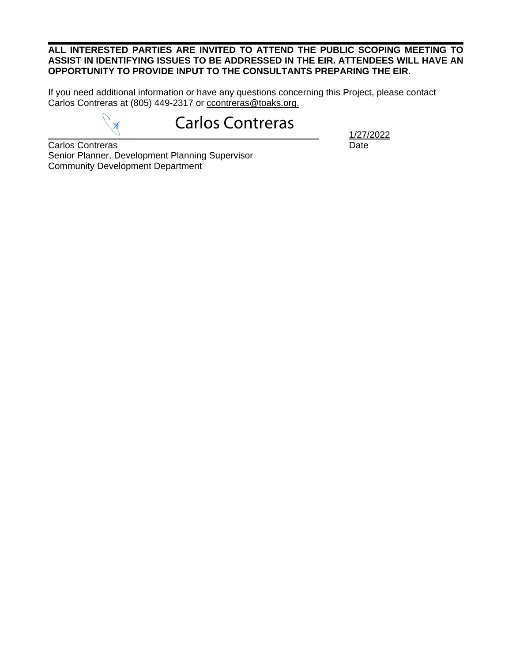#### **ALL INTERESTED PARTIES ARE INVITED TO ATTEND THE PUBLIC SCOPING MEETING TO ASSIST IN IDENTIFYING ISSUES TO BE ADDRESSED IN THE EIR. ATTENDEES WILL HAVE AN OPPORTUNITY TO PROVIDE INPUT TO THE CONSULTANTS PREPARING THE EIR.**

If you need additional information or have any questions concerning this Project, please contact Carlos Contreras at (805) 449-2317 or [ccontreras@toaks.org.](mailto:ccontreras@toaks.org)

# Carlos Contreras

1/27/2022

**Carlos Contreras** Date Senior Planner, Development Planning Supervisor Community Development Department